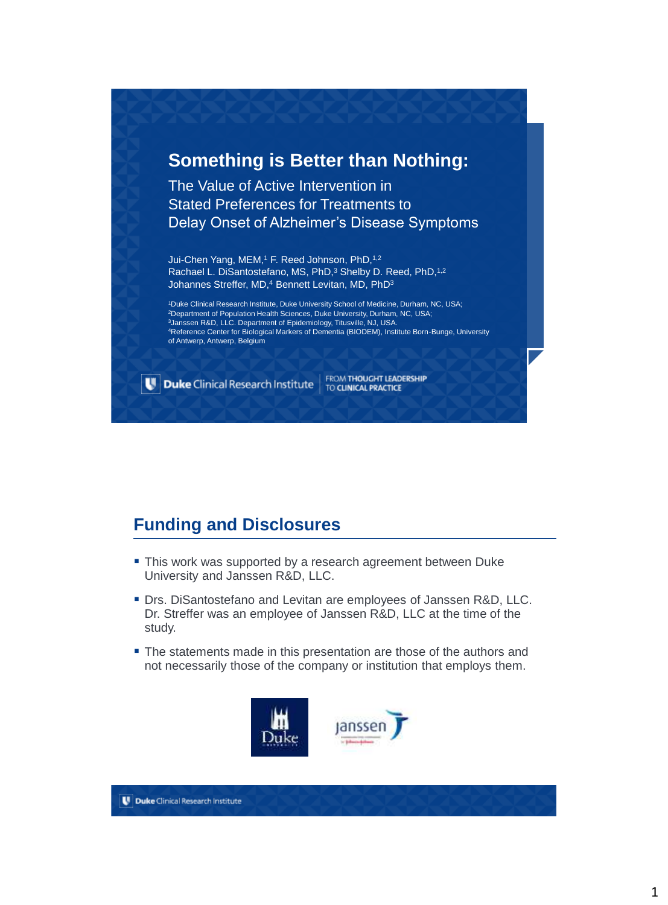#### **Something is Better than Nothing:**

The Value of Active Intervention in Stated Preferences for Treatments to Delay Onset of Alzheimer's Disease Symptoms

Jui-Chen Yang, MEM,<sup>1</sup> F. Reed Johnson, PhD,<sup>1,2</sup> Rachael L. DiSantostefano, MS, PhD,<sup>3</sup> Shelby D. Reed, PhD,<sup>1,2</sup> Johannes Streffer, MD,<sup>4</sup> Bennett Levitan, MD, PhD<sup>3</sup>

Duke Clinical Research Institute, Duke University School of Medicine, Durham, NC, USA; Department of Population Health Sciences, Duke University, Durham, NC, USA; Janssen R&D, LLC. Department of Epidemiology, Titusville, NJ, USA. Reference Center for Biological Markers of Dementia (BIODEM), Institute Born-Bunge, University of Antwerp, Antwerp, Belgium

Duke Clinical Research Institute

FROM THOUGHT LEADERSHIP

### **Funding and Disclosures**

- **This work was supported by a research agreement between Duke** University and Janssen R&D, LLC.
- **Drs. DiSantostefano and Levitan are employees of Janssen R&D, LLC.** Dr. Streffer was an employee of Janssen R&D, LLC at the time of the study.
- The statements made in this presentation are those of the authors and not necessarily those of the company or institution that employs them.

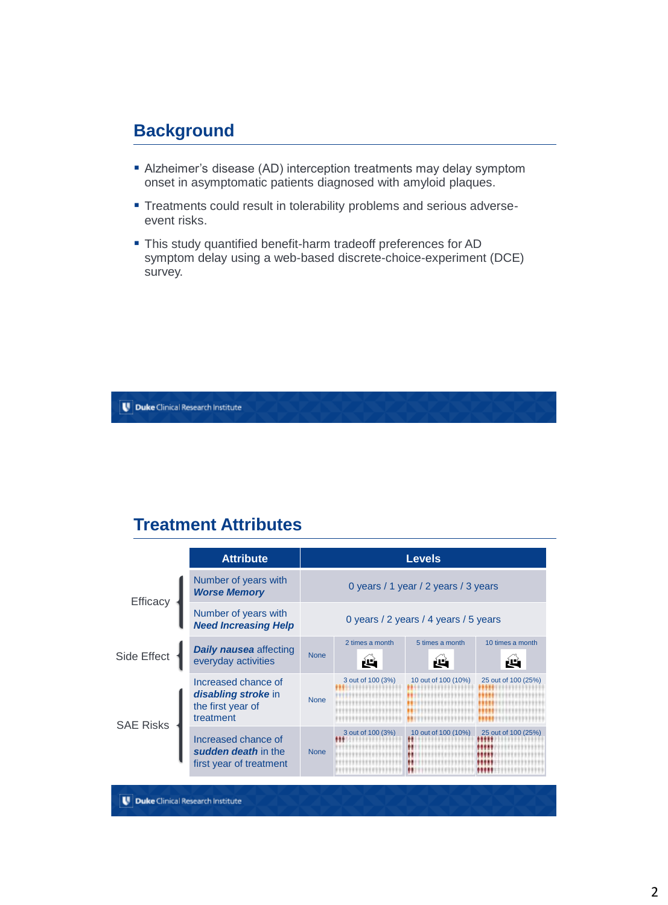#### **Background**

- Alzheimer's disease (AD) interception treatments may delay symptom onset in asymptomatic patients diagnosed with amyloid plaques.
- **Treatments could result in tolerability problems and serious adverse**event risks.
- This study quantified benefit-harm tradeoff preferences for AD symptom delay using a web-based discrete-choice-experiment (DCE) survey.

Duke Clinical Research Institute

#### **Treatment Attributes**

|                  | <b>Attribute</b>                                                             |                                       |                       | <b>Levels</b>        |                        |  |
|------------------|------------------------------------------------------------------------------|---------------------------------------|-----------------------|----------------------|------------------------|--|
| Efficacy         | Number of years with<br><b>Worse Memory</b>                                  | 0 years / 1 year / 2 years / 3 years  |                       |                      |                        |  |
|                  | Number of years with<br><b>Need Increasing Help</b>                          | 0 years / 2 years / 4 years / 5 years |                       |                      |                        |  |
| Side Effect      | <b>Daily nausea</b> affecting<br>everyday activities                         | <b>None</b>                           | 2 times a month<br>ùЦ | 5 times a month<br>щ | 10 times a month<br>ùЦ |  |
| <b>SAE Risks</b> | Increased chance of<br>disabling stroke in<br>the first year of<br>treatment | <b>None</b>                           | 3 out of 100 (3%)     | 10 out of 100 (10%)  | 25 out of 100 (25%)    |  |
|                  | Increased chance of<br>sudden death in the<br>first year of treatment        | <b>None</b>                           | 3 out of 100 (3%)     | 10 out of 100 (10%)  | 25 out of 100 (25%)    |  |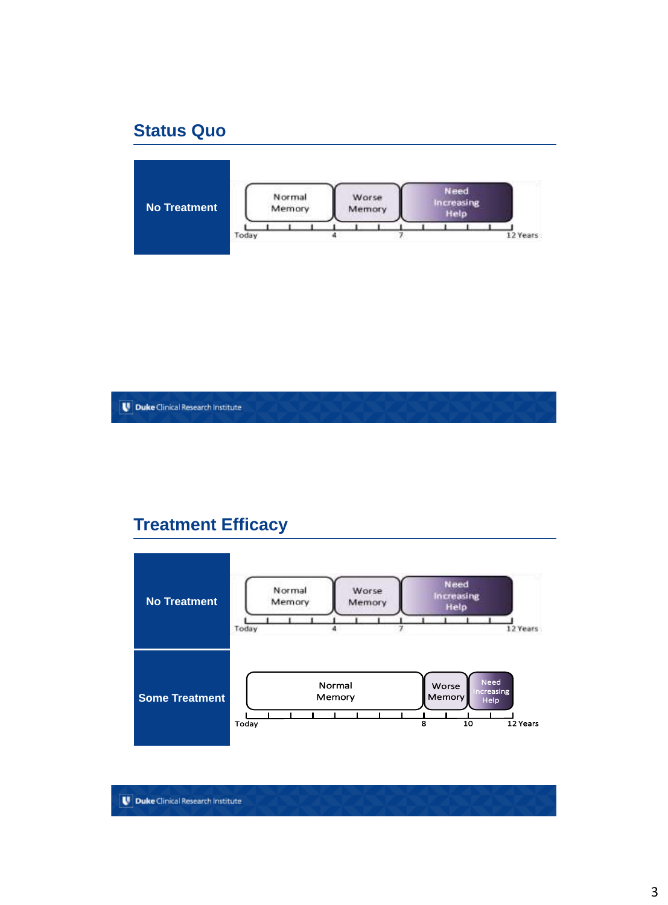### **Status Quo**



**U** Duke Clinical Research Institute

### **Treatment Efficacy**

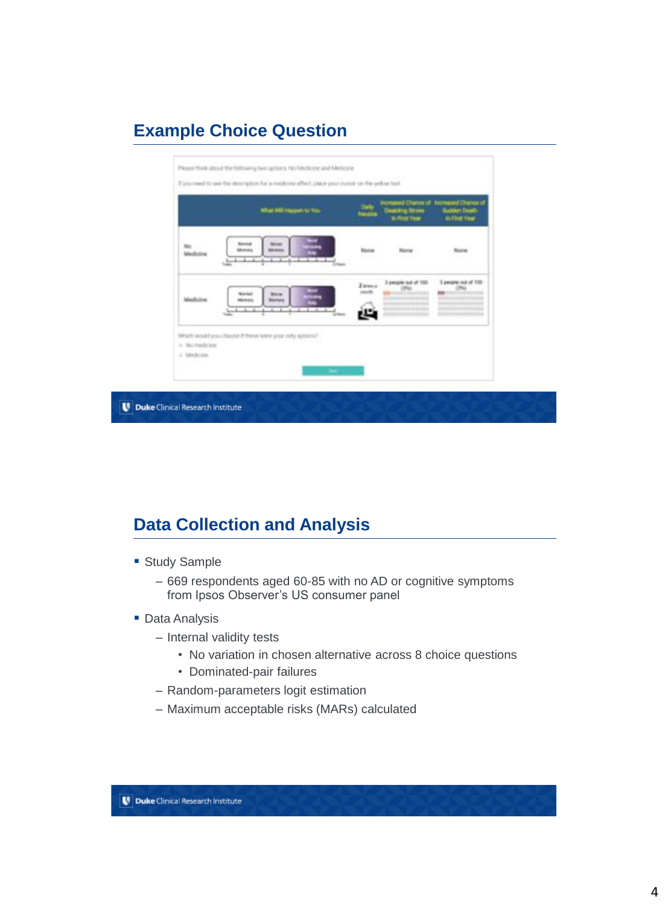# **Example Choice Question**



# **Data Collection and Analysis**

- **Study Sample** 
	- 669 respondents aged 60-85 with no AD or cognitive symptoms from Ipsos Observer's US consumer panel
- **Data Analysis** 
	- Internal validity tests
		- No variation in chosen alternative across 8 choice questions
		- Dominated-pair failures
	- Random-parameters logit estimation
	- Maximum acceptable risks (MARs) calculated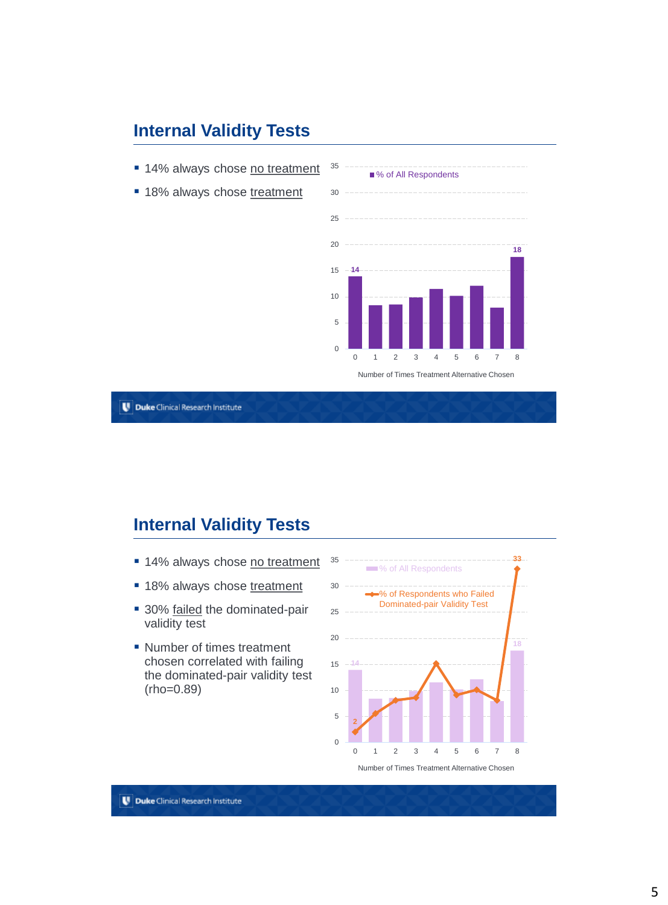### **Internal Validity Tests**

- 14% always chose no treatment
- 18% always chose treatment



**U** Duke Clinical Research Institute

#### **Internal Validity Tests**

- **14% always chose no treatment**
- **18% always chose treatment**
- 30% failed the dominated-pair validity test
- Number of times treatment chosen correlated with failing the dominated-pair validity test (rho=0.89)

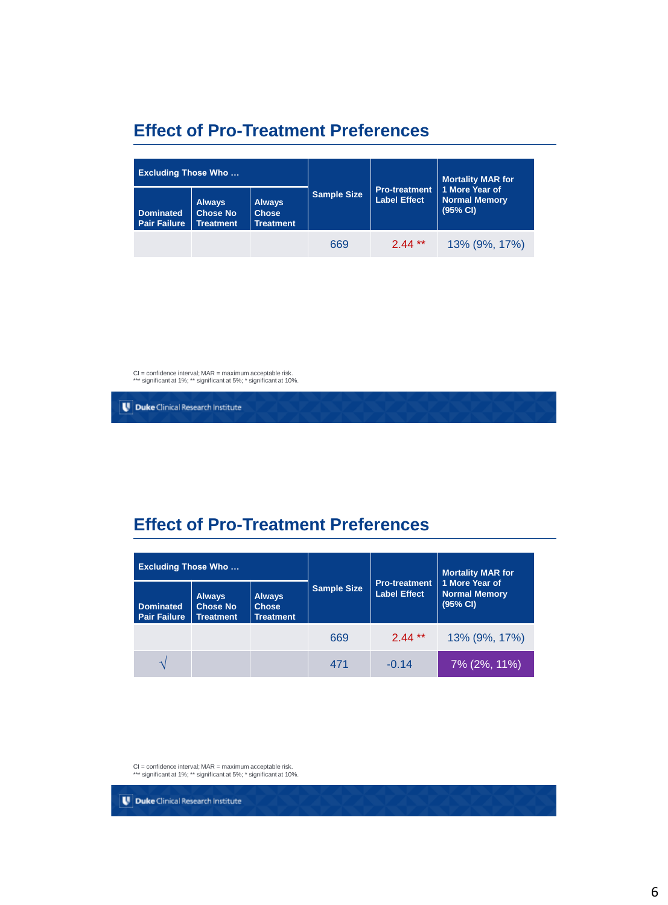## **Effect of Pro-Treatment Preferences**

| <b>Excluding Those Who</b>              |                                                      |                                                   |                    |                                      | <b>Mortality MAR for</b>                           |
|-----------------------------------------|------------------------------------------------------|---------------------------------------------------|--------------------|--------------------------------------|----------------------------------------------------|
| <b>Dominated</b><br><b>Pair Failure</b> | <b>Always</b><br><b>Chose No</b><br><b>Treatment</b> | <b>Always</b><br><b>Chose</b><br><b>Treatment</b> | <b>Sample Size</b> | Pro-treatment<br><b>Label Effect</b> | 1 More Year of<br><b>Normal Memory</b><br>(95% CI) |
|                                         |                                                      |                                                   | 669                | $2.44**$                             | 13% (9%, 17%)                                      |

CI = confidence interval; MAR = maximum acceptable risk. \*\*\* significant at 1%; \*\* significant at 5%; \* significant at 10%.

Duke Clinical Research Institute

### **Effect of Pro-Treatment Preferences**

| <b>Excluding Those Who</b>              |                                                      |                                                   |                    | <b>Mortality MAR for</b>                    |                                                    |
|-----------------------------------------|------------------------------------------------------|---------------------------------------------------|--------------------|---------------------------------------------|----------------------------------------------------|
| <b>Dominated</b><br><b>Pair Failure</b> | <b>Always</b><br><b>Chose No</b><br><b>Treatment</b> | <b>Always</b><br><b>Chose</b><br><b>Treatment</b> | <b>Sample Size</b> | <b>Pro-treatment</b><br><b>Label Effect</b> | 1 More Year of<br><b>Normal Memory</b><br>(95% CI) |
|                                         |                                                      |                                                   | 669                | $2.44***$                                   | 13% (9%, 17%)                                      |
|                                         |                                                      |                                                   | 471                | $-0.14$                                     | 7% (2%, 11%)                                       |

CI = confidence interval; MAR = maximum acceptable risk. \*\*\* significant at 1%; \*\* significant at 5%; \* significant at 10%.

Duke Clinical Research Institute